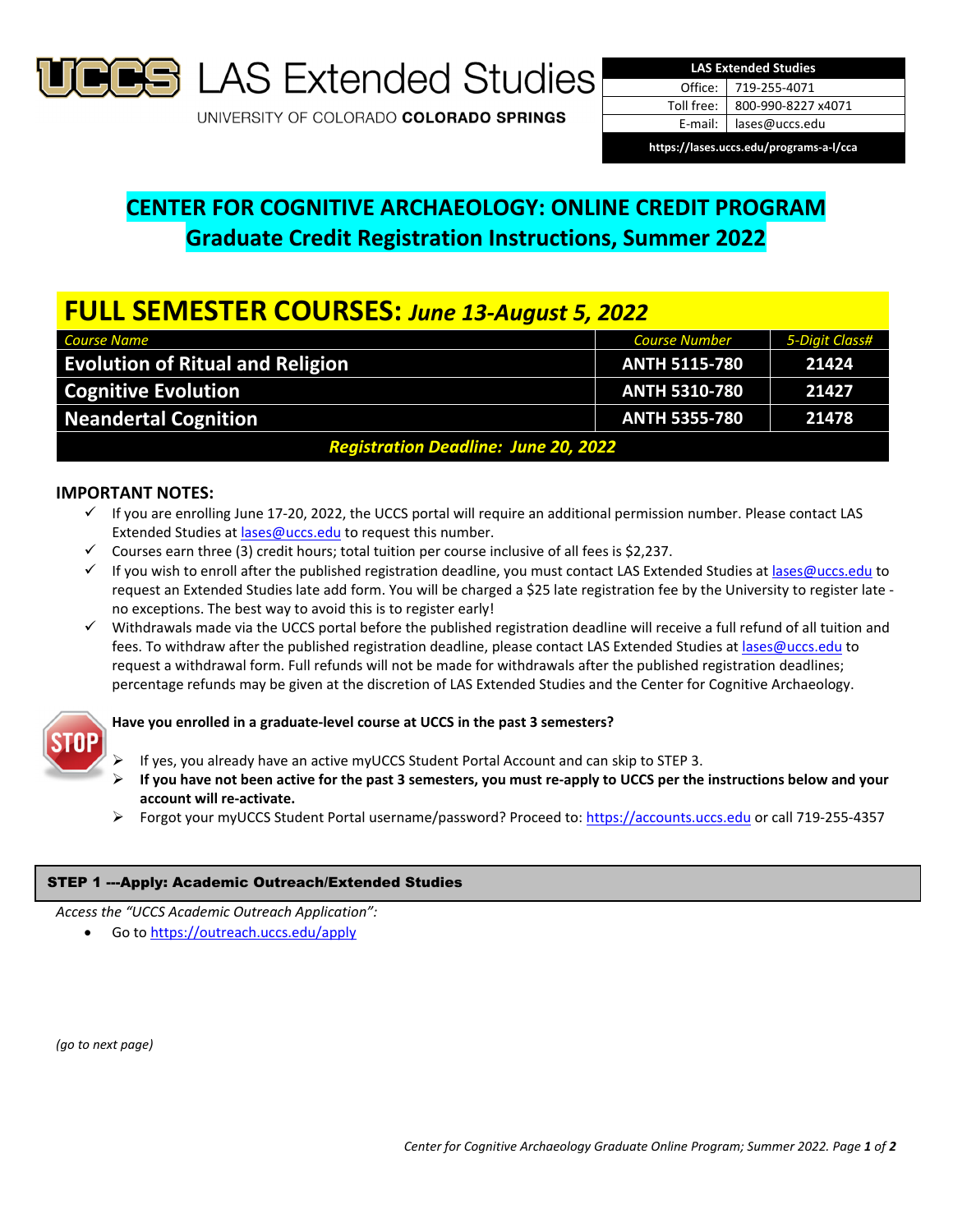

UNIVERSITY OF COLORADO COLORADO SPRINGS

| <b>LAS Extended Studies</b> |                      |
|-----------------------------|----------------------|
|                             | Office: 719-255-4071 |
| Toll free:                  | 800-990-8227 x4071   |
| E-mail:                     | lases@uccs.edu       |
|                             |                      |

**https://lases.uccs.edu/programs‐a‐l/cca**

# **CENTER FOR COGNITIVE ARCHAEOLOGY: ONLINE CREDIT PROGRAM Graduate Credit Registration Instructions, Summer 2022**

# **FULL SEMESTER COURSES:** *June 13‐August 5, 2022*

| <b>Course Name</b>                          | <b>Course Number</b> | 5-Digit Class# |  |
|---------------------------------------------|----------------------|----------------|--|
| <b>Evolution of Ritual and Religion</b>     | <b>ANTH 5115-780</b> | 21424          |  |
| <b>Cognitive Evolution</b>                  | <b>ANTH 5310-780</b> | 21427          |  |
| <b>Neandertal Cognition</b>                 | <b>ANTH 5355-780</b> | 21478          |  |
| <b>Registration Deadline: June 20, 2022</b> |                      |                |  |

## **IMPORTANT NOTES:**

- $\checkmark$  If you are enrolling June 17-20, 2022, the UCCS portal will require an additional permission number. Please contact LAS Extended Studies at lases@uccs.edu to request this number.
- $\checkmark$  Courses earn three (3) credit hours; total tuition per course inclusive of all fees is \$2,237.
- √ If you wish to enroll after the published registration deadline, you must contact LAS Extended Studies at lases@uccs.edu to request an Extended Studies late add form. You will be charged a \$25 late registration fee by the University to register late ‐ no exceptions. The best way to avoid this is to register early!
- $\checkmark$  Withdrawals made via the UCCS portal before the published registration deadline will receive a full refund of all tuition and fees. To withdraw after the published registration deadline, please contact LAS Extended Studies at lases@uccs.edu to request a withdrawal form. Full refunds will not be made for withdrawals after the published registration deadlines; percentage refunds may be given at the discretion of LAS Extended Studies and the Center for Cognitive Archaeology.



## **Have you enrolled in a graduate‐level course at UCCS in the past 3 semesters?**

- If yes, you already have an active myUCCS Student Portal Account and can skip to STEP 3.
- If you have not been active for the past 3 semesters, you must re-apply to UCCS per the instructions below and your **account will re‐activate.**
- Forgot your myUCCS Student Portal username/password? Proceed to: https://accounts.uccs.edu or call 719‐255‐4357

#### STEP 1 ---Apply: Academic Outreach/Extended Studies

*Access the "UCCS Academic Outreach Application":*

Go to https://outreach.uccs.edu/apply

*(go to next page)*